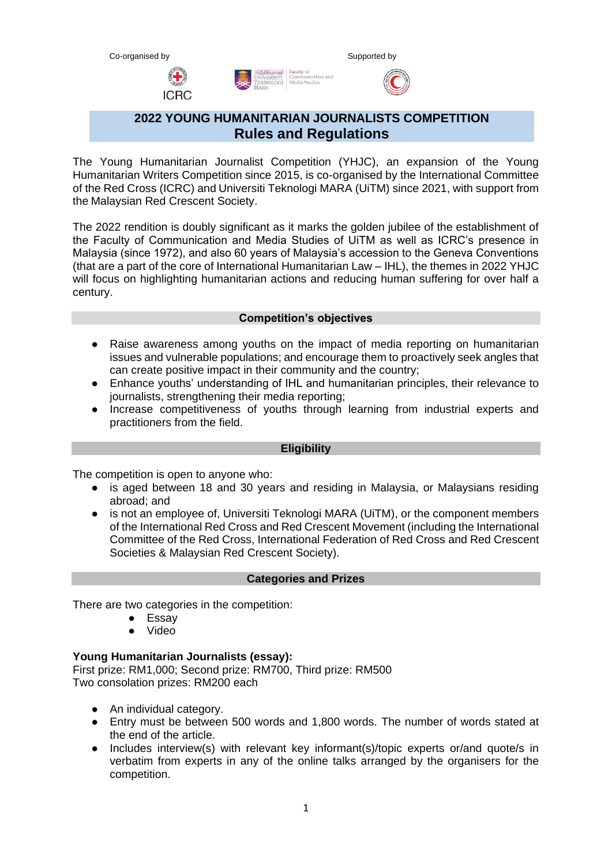**ICRC** 



# **2022 YOUNG HUMANITARIAN JOURNALISTS COMPETITION Rules and Regulations**

Communicat<br>Media Studie

RSITI<br>DLOGI |

The Young Humanitarian Journalist Competition (YHJC), an expansion of the Young Humanitarian Writers Competition since 2015, is co-organised by the International Committee of the Red Cross (ICRC) and Universiti Teknologi MARA (UiTM) since 2021, with support from the Malaysian Red Crescent Society.

The 2022 rendition is doubly significant as it marks the golden jubilee of the establishment of the Faculty of Communication and Media Studies of UiTM as well as ICRC's presence in Malaysia (since 1972), and also 60 years of Malaysia's accession to the Geneva Conventions (that are a part of the core of International Humanitarian Law – IHL), the themes in 2022 YHJC will focus on highlighting humanitarian actions and reducing human suffering for over half a century.

### **Competition's objectives**

- Raise awareness among youths on the impact of media reporting on humanitarian issues and vulnerable populations; and encourage them to proactively seek angles that can create positive impact in their community and the country;
- Enhance youths' understanding of IHL and humanitarian principles, their relevance to journalists, strengthening their media reporting;
- Increase competitiveness of youths through learning from industrial experts and practitioners from the field.

### **Eligibility**

The competition is open to anyone who:

- is aged between 18 and 30 years and residing in Malaysia, or Malaysians residing abroad; and
- is not an employee of, Universiti Teknologi MARA (UiTM), or the component members of the International Red Cross and Red Crescent Movement (including the International Committee of the Red Cross, International Federation of Red Cross and Red Crescent Societies & Malaysian Red Crescent Society).

#### **Categories and Prizes**

There are two categories in the competition:

- Essay
- Video

### **Young Humanitarian Journalists (essay):**

First prize: RM1,000; Second prize: RM700, Third prize: RM500 Two consolation prizes: RM200 each

- An individual category.
- Entry must be between 500 words and 1,800 words. The number of words stated at the end of the article.
- Includes interview(s) with relevant key informant(s)/topic experts or/and quote/s in verbatim from experts in any of the online talks arranged by the organisers for the competition.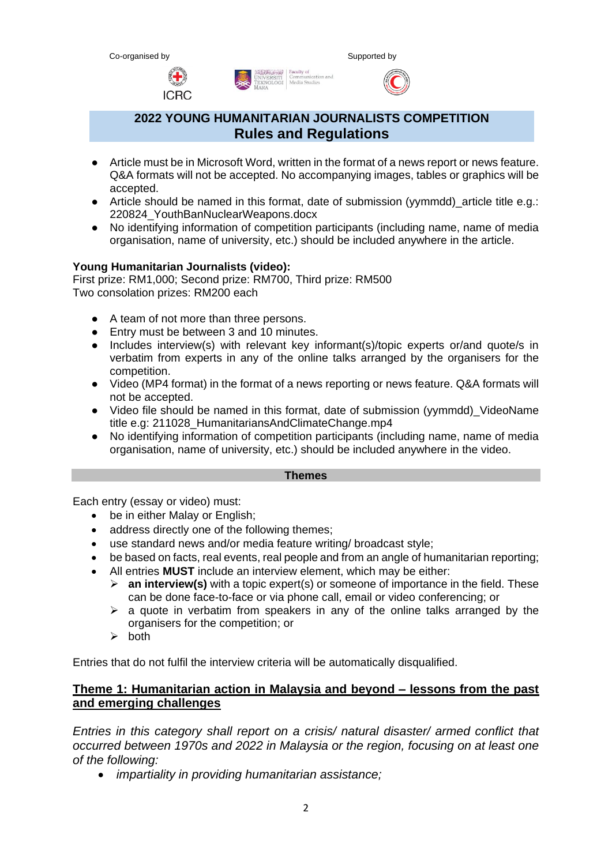



# **2022 YOUNG HUMANITARIAN JOURNALISTS COMPETITION Rules and Regulations**

ERSITI Communicati<br>OLOGI Media Studie

- Article must be in Microsoft Word, written in the format of a news report or news feature. Q&A formats will not be accepted. No accompanying images, tables or graphics will be accepted.
- Article should be named in this format, date of submission (yymmdd) article title e.g.: 220824\_YouthBanNuclearWeapons.docx
- No identifying information of competition participants (including name, name of media organisation, name of university, etc.) should be included anywhere in the article.

### **Young Humanitarian Journalists (video):**

**ICRC** 

First prize: RM1,000; Second prize: RM700, Third prize: RM500 Two consolation prizes: RM200 each

- A team of not more than three persons.
- Entry must be between 3 and 10 minutes.
- Includes interview(s) with relevant key informant(s)/topic experts or/and quote/s in verbatim from experts in any of the online talks arranged by the organisers for the competition.
- Video (MP4 format) in the format of a news reporting or news feature. Q&A formats will not be accepted.
- Video file should be named in this format, date of submission (yymmdd) VideoName title e.g: 211028\_HumanitariansAndClimateChange.mp4
- No identifying information of competition participants (including name, name of media organisation, name of university, etc.) should be included anywhere in the video.

#### **Themes**

Each entry (essay or video) must:

- be in either Malay or English;
- address directly one of the following themes;
- use standard news and/or media feature writing/ broadcast style;
- be based on facts, real events, real people and from an angle of humanitarian reporting;
- All entries **MUST** include an interview element, which may be either:
	- ➢ **an interview(s)** with a topic expert(s) or someone of importance in the field. These can be done face-to-face or via phone call, email or video conferencing; or
	- $\triangleright$  a quote in verbatim from speakers in any of the online talks arranged by the organisers for the competition; or
	- ➢ both

Entries that do not fulfil the interview criteria will be automatically disqualified.

### **Theme 1: Humanitarian action in Malaysia and beyond – lessons from the past and emerging challenges**

*Entries in this category shall report on a crisis/ natural disaster/ armed conflict that occurred between 1970s and 2022 in Malaysia or the region, focusing on at least one of the following:*

• *impartiality in providing humanitarian assistance;*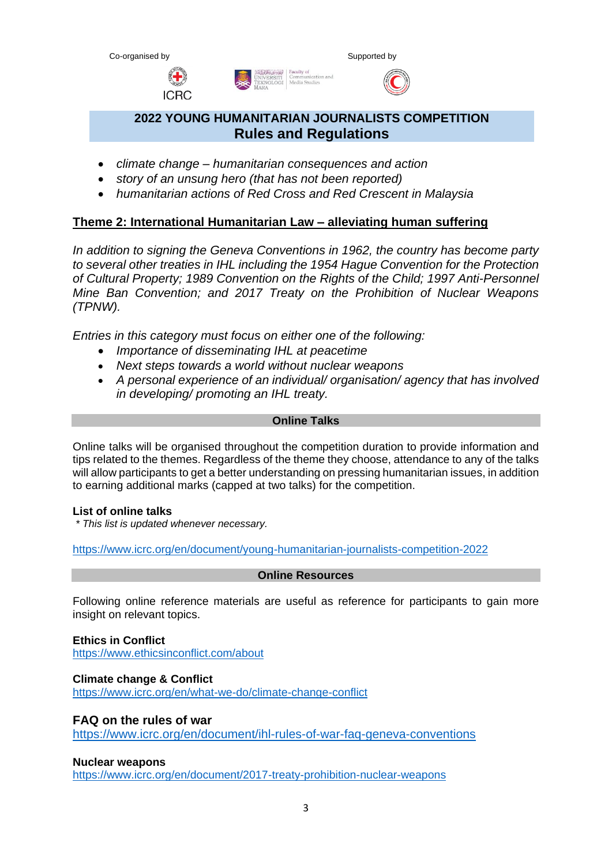| w |  |
|---|--|
|   |  |





# **2022 YOUNG HUMANITARIAN JOURNALISTS COMPETITION Rules and Regulations**

- *climate change – humanitarian consequences and action*
- *story of an unsung hero (that has not been reported)*
- *humanitarian actions of Red Cross and Red Crescent in Malaysia*

### **Theme 2: International Humanitarian Law – alleviating human suffering**

*In addition to signing the Geneva Conventions in 1962, the country has become party to several other treaties in IHL including the 1954 Hague Convention for the Protection of Cultural Property; 1989 Convention on the Rights of the Child; 1997 Anti-Personnel Mine Ban Convention; and 2017 Treaty on the Prohibition of Nuclear Weapons (TPNW).*

*Entries in this category must focus on either one of the following:*

- *Importance of disseminating IHL at peacetime*
- *Next steps towards a world without nuclear weapons*
- *A personal experience of an individual/ organisation/ agency that has involved in developing/ promoting an IHL treaty.*

### **Online Talks**

Online talks will be organised throughout the competition duration to provide information and tips related to the themes. Regardless of the theme they choose, attendance to any of the talks will allow participants to get a better understanding on pressing humanitarian issues, in addition to earning additional marks (capped at two talks) for the competition.

### **List of online talks**

*\* This list is updated whenever necessary.*

<https://www.icrc.org/en/document/young-humanitarian-journalists-competition-2022>

### **Online Resources**

Following online reference materials are useful as reference for participants to gain more insight on relevant topics.

### **Ethics in Conflict**

<https://www.ethicsinconflict.com/about>

### **Climate change & Conflict**

<https://www.icrc.org/en/what-we-do/climate-change-conflict>

### **FAQ on the rules of war**

<https://www.icrc.org/en/document/ihl-rules-of-war-faq-geneva-conventions>

### **Nuclear weapons**

<https://www.icrc.org/en/document/2017-treaty-prohibition-nuclear-weapons>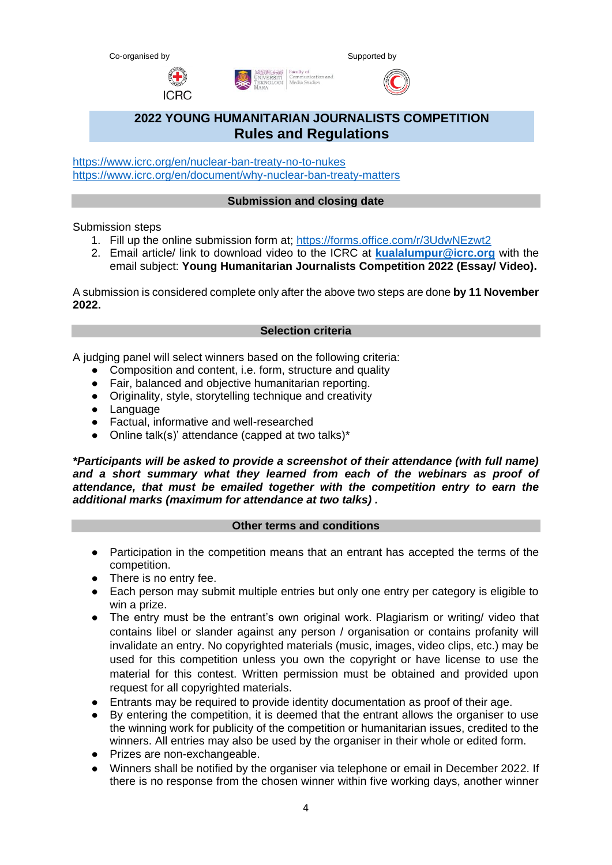Co-organised by Supported by Supported by Supported by

**ICRC** 





# **2022 YOUNG HUMANITARIAN JOURNALISTS COMPETITION Rules and Regulations**

Exercise Faculty of<br>ERSITI Communication and<br>OLOGI Media Studies

<https://www.icrc.org/en/nuclear-ban-treaty-no-to-nukes> <https://www.icrc.org/en/document/why-nuclear-ban-treaty-matters>

### **Submission and closing date**

Submission steps

- 1. Fill up the online submission form at; <https://forms.office.com/r/3UdwNEzwt2>
- 2. Email article/ link to download video to the ICRC at **[kualalumpur@icrc.org](mailto:kualalumpur@icrc.org)** with the email subject: **Young Humanitarian Journalists Competition 2022 (Essay/ Video).**

A submission is considered complete only after the above two steps are done **by 11 November 2022.**

### **Selection criteria**

A judging panel will select winners based on the following criteria:

- Composition and content, i.e. form, structure and quality
- Fair, balanced and objective humanitarian reporting.
- Originality, style, storytelling technique and creativity
- Language
- Factual, informative and well-researched
- Online talk(s)' attendance (capped at two talks)\*

*\*Participants will be asked to provide a screenshot of their attendance (with full name)*  and a short summary what they learned from each of the webinars as proof of *attendance, that must be emailed together with the competition entry to earn the additional marks (maximum for attendance at two talks) .*

#### **Other terms and conditions**

- Participation in the competition means that an entrant has accepted the terms of the competition.
- There is no entry fee.
- Each person may submit multiple entries but only one entry per category is eligible to win a prize.
- The entry must be the entrant's own original work. Plagiarism or writing/ video that contains libel or slander against any person / organisation or contains profanity will invalidate an entry. No copyrighted materials (music, images, video clips, etc.) may be used for this competition unless you own the copyright or have license to use the material for this contest. Written permission must be obtained and provided upon request for all copyrighted materials.
- Entrants may be required to provide identity documentation as proof of their age.
- By entering the competition, it is deemed that the entrant allows the organiser to use the winning work for publicity of the competition or humanitarian issues, credited to the winners. All entries may also be used by the organiser in their whole or edited form.
- Prizes are non-exchangeable.
- Winners shall be notified by the organiser via telephone or email in December 2022. If there is no response from the chosen winner within five working days, another winner